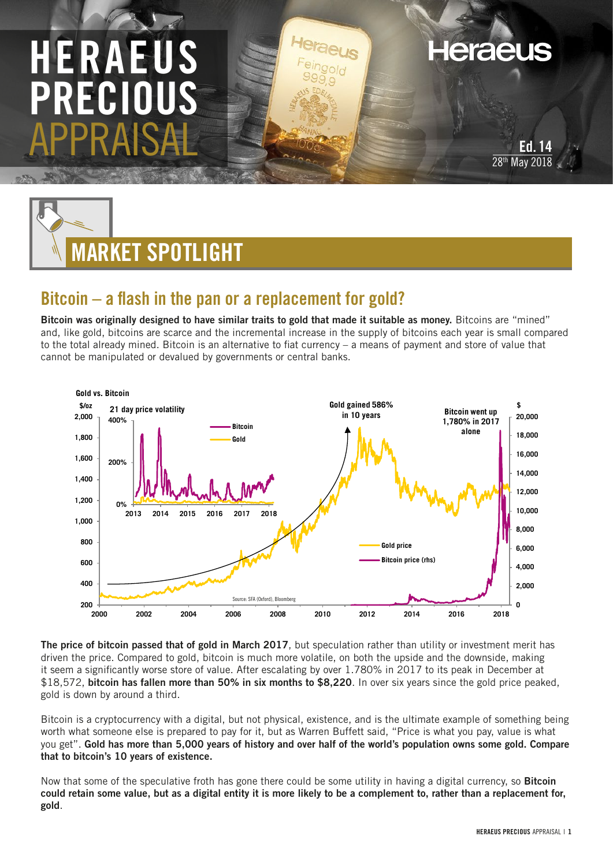## HERAEUS PRECI APPRAISAL



## Bitcoin – a flash in the pan or a replacement for gold?

Bitcoin was originally designed to have similar traits to gold that made it suitable as money. Bitcoins are "mined" and, like gold, bitcoins are scarce and the incremental increase in the supply of bitcoins each year is small compared to the total already mined. Bitcoin is an alternative to fiat currency – a means of payment and store of value that cannot be manipulated or devalued by governments or central banks.



The price of bitcoin passed that of gold in March 2017, but speculation rather than utility or investment merit has driven the price. Compared to gold, bitcoin is much more volatile, on both the upside and the downside, making it seem a significantly worse store of value. After escalating by over 1.780% in 2017 to its peak in December at \$18,572, bitcoin has fallen more than 50% in six months to \$8,220. In over six years since the gold price peaked, gold is down by around a third.

Bitcoin is a cryptocurrency with a digital, but not physical, existence, and is the ultimate example of something being worth what someone else is prepared to pay for it, but as Warren Buffett said, "Price is what you pay, value is what you get". Gold has more than 5,000 years of history and over half of the world's population owns some gold. Compare that to bitcoin's 10 years of existence.

Now that some of the speculative froth has gone there could be some utility in having a digital currency, so Bitcoin could retain some value, but as a digital entity it is more likely to be a complement to, rather than a replacement for, gold.

Ed. 14 May 2018

**Heraeus**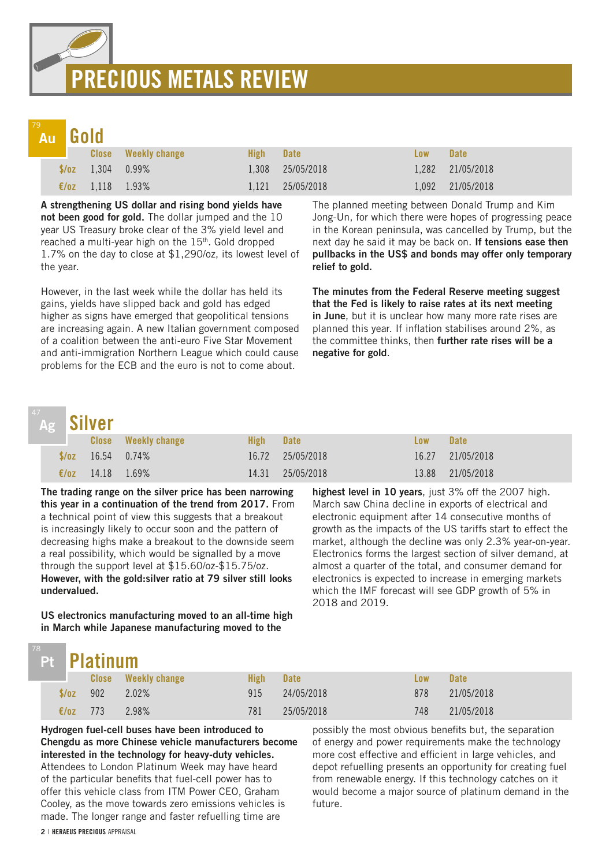# PRECIOUS METALS REVIEW

## Au

|  | Au Gold                   |                            |       |             |            |                  |  |  |
|--|---------------------------|----------------------------|-------|-------------|------------|------------------|--|--|
|  |                           | <b>Close</b> Weekly change | High  | <b>Date</b> | <b>Low</b> | <b>Date</b>      |  |  |
|  | $\sqrt{$782}$ 1,304 0.99% |                            | 1,308 | 25/05/2018  |            | 1,282 21/05/2018 |  |  |
|  | €/oz $1,118$ 1.93%        |                            | 1.121 | 25/05/2018  |            | 1,092 21/05/2018 |  |  |

A strengthening US dollar and rising bond yields have not been good for gold. The dollar jumped and the 10 year US Treasury broke clear of the 3% yield level and reached a multi-year high on the  $15<sup>th</sup>$ . Gold dropped 1.7% on the day to close at \$1,290/oz, its lowest level of the year.

However, in the last week while the dollar has held its gains, yields have slipped back and gold has edged higher as signs have emerged that geopolitical tensions are increasing again. A new Italian government composed of a coalition between the anti-euro Five Star Movement and anti-immigration Northern League which could cause problems for the ECB and the euro is not to come about.

The planned meeting between Donald Trump and Kim Jong-Un, for which there were hopes of progressing peace in the Korean peninsula, was cancelled by Trump, but the next day he said it may be back on. If tensions ease then pullbacks in the US\$ and bonds may offer only temporary relief to gold.

The minutes from the Federal Reserve meeting suggest that the Fed is likely to raise rates at its next meeting in June, but it is unclear how many more rate rises are planned this year. If inflation stabilises around 2%, as the committee thinks, then further rate rises will be a negative for gold.

## Ag

|      | Ag Silver                 |                            |       |                  |            |             |  |  |
|------|---------------------------|----------------------------|-------|------------------|------------|-------------|--|--|
|      |                           | <b>Close</b> Weekly change | High  | <b>Date</b>      | <b>Low</b> | <b>Date</b> |  |  |
|      | $\sqrt{$70z}$ 16.54 0.74% |                            |       | 16.72 25/05/2018 | 16.27      | 21/05/2018  |  |  |
| E/0Z | 14.18                     | 1.69%                      | 14.31 | 25/05/2018       | 13.88      | 21/05/2018  |  |  |

The trading range on the silver price has been narrowing this year in a continuation of the trend from 2017. From a technical point of view this suggests that a breakout is increasingly likely to occur soon and the pattern of decreasing highs make a breakout to the downside seem a real possibility, which would be signalled by a move through the support level at \$15.60/oz-\$15.75/oz. However, with the gold:silver ratio at 79 silver still looks undervalued.

US electronics manufacturing moved to an all-time high in March while Japanese manufacturing moved to the

highest level in 10 years, just 3% off the 2007 high. March saw China decline in exports of electrical and electronic equipment after 14 consecutive months of growth as the impacts of the US tariffs start to effect the market, although the decline was only 2.3% year-on-year. Electronics forms the largest section of silver demand, at almost a quarter of the total, and consumer demand for electronics is expected to increase in emerging markets which the IMF forecast will see GDP growth of 5% in 2018 and 2019.

## Pt

|                          | Pt Platinum |                            |      |             |            |             |  |  |
|--------------------------|-------------|----------------------------|------|-------------|------------|-------------|--|--|
| <b>Contract Contract</b> |             | <b>Close</b> Weekly change | High | <b>Date</b> | <b>Low</b> | <b>Date</b> |  |  |
| $\sqrt{0z}$ 902          |             | $2.02\%$                   | 915  | 24/05/2018  | 878        | 21/05/2018  |  |  |
| $\epsilon/\sigma$ z 773  |             | 2.98%                      | 781  | 25/05/2018  | 748        | 21/05/2018  |  |  |

Hydrogen fuel-cell buses have been introduced to Chengdu as more Chinese vehicle manufacturers become interested in the technology for heavy-duty vehicles. Attendees to London Platinum Week may have heard of the particular benefits that fuel-cell power has to offer this vehicle class from ITM Power CEO, Graham Cooley, as the move towards zero emissions vehicles is made. The longer range and faster refuelling time are

possibly the most obvious benefits but, the separation of energy and power requirements make the technology more cost effective and efficient in large vehicles, and depot refuelling presents an opportunity for creating fuel from renewable energy. If this technology catches on it would become a major source of platinum demand in the future.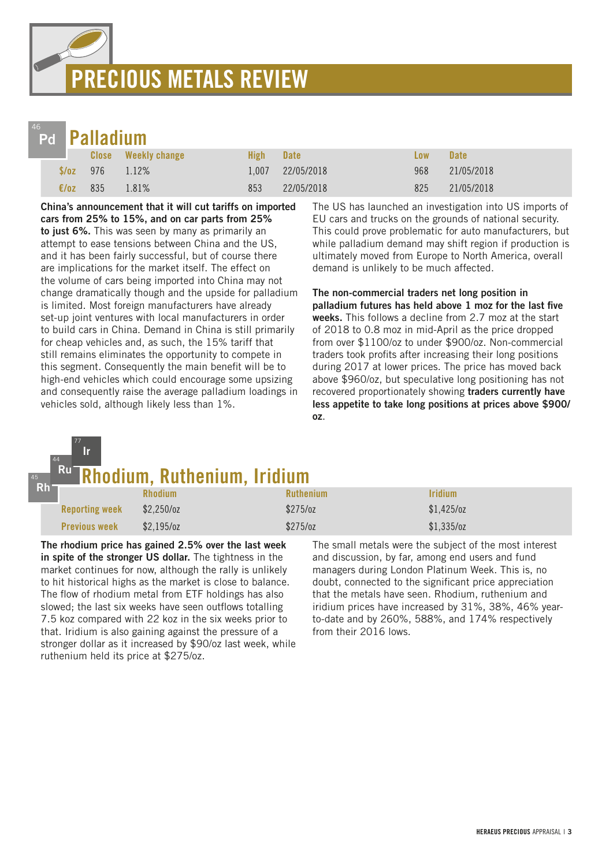## PRECIOUS METALS REVIEW



45

77

## **Palladium**

|                |                        | <b>Close</b> Weekly change | High- | <b>Date</b>      | <b>Low</b> | <b>Date</b> |
|----------------|------------------------|----------------------------|-------|------------------|------------|-------------|
|                | $\sqrt{$6z}$ 976 1.12% |                            |       | 1,007 22/05/2018 | 968        | 21/05/2018  |
| $\epsilon$ /oz | 835                    | 1.81%                      | 853   | 22/05/2018       | 825        | 21/05/2018  |

China's announcement that it will cut tariffs on imported cars from 25% to 15%, and on car parts from 25% to just 6%. This was seen by many as primarily an attempt to ease tensions between China and the US, and it has been fairly successful, but of course there are implications for the market itself. The effect on the volume of cars being imported into China may not change dramatically though and the upside for palladium is limited. Most foreign manufacturers have already set-up joint ventures with local manufacturers in order to build cars in China. Demand in China is still primarily for cheap vehicles and, as such, the 15% tariff that still remains eliminates the opportunity to compete in this segment. Consequently the main benefit will be to high-end vehicles which could encourage some upsizing and consequently raise the average palladium loadings in vehicles sold, although likely less than 1%.

The US has launched an investigation into US imports of EU cars and trucks on the grounds of national security. This could prove problematic for auto manufacturers, but while palladium demand may shift region if production is ultimately moved from Europe to North America, overall demand is unlikely to be much affected.

The non-commercial traders net long position in palladium futures has held above 1 moz for the last five weeks. This follows a decline from 2.7 moz at the start of 2018 to 0.8 moz in mid-April as the price dropped from over \$1100/oz to under \$900/oz. Non-commercial traders took profits after increasing their long positions during 2017 at lower prices. The price has moved back above \$960/oz, but speculative long positioning has not recovered proportionately showing traders currently have less appetite to take long positions at prices above \$900/ oz.

#### odium, Ruthenium, Iridium Rh 44 Ru Ir

| . . |                       | <b>Rhodium</b> | <b>Ruthenium</b> | <b>Iridium</b> |
|-----|-----------------------|----------------|------------------|----------------|
|     | <b>Reporting week</b> | $$2,250$ /oz   | \$275/oz         | $$1,425$ /oz   |
|     | <b>Previous week</b>  | $$2,195$ /0Z   | $$275$ /oz       | \$1,335/oz     |

The rhodium price has gained 2.5% over the last week in spite of the stronger US dollar. The tightness in the market continues for now, although the rally is unlikely to hit historical highs as the market is close to balance. The flow of rhodium metal from ETF holdings has also slowed; the last six weeks have seen outflows totalling 7.5 koz compared with 22 koz in the six weeks prior to that. Iridium is also gaining against the pressure of a stronger dollar as it increased by \$90/oz last week, while ruthenium held its price at \$275/oz.

The small metals were the subject of the most interest and discussion, by far, among end users and fund managers during London Platinum Week. This is, no doubt, connected to the significant price appreciation that the metals have seen. Rhodium, ruthenium and iridium prices have increased by 31%, 38%, 46% yearto-date and by 260%, 588%, and 174% respectively from their 2016 lows.